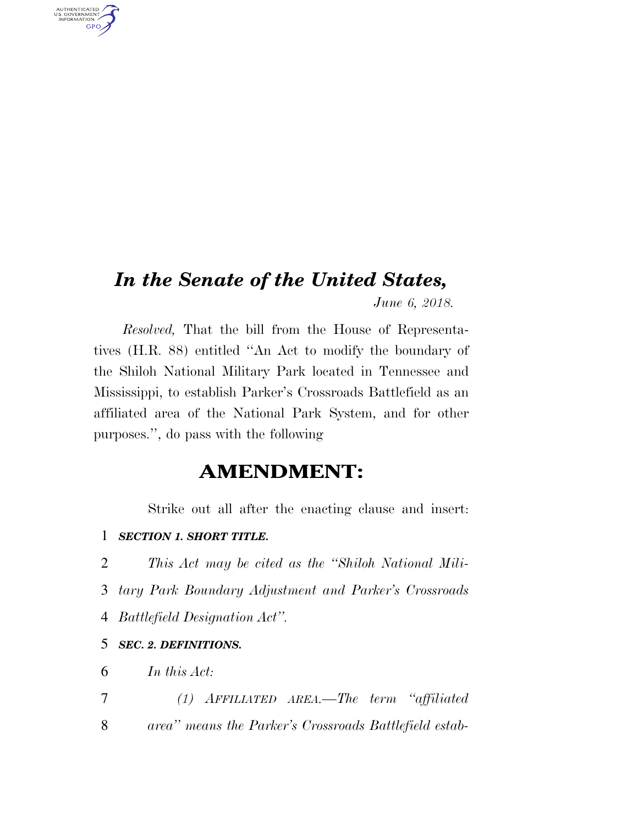# *In the Senate of the United States, June 6, 2018.*

*Resolved,* That the bill from the House of Representatives (H.R. 88) entitled ''An Act to modify the boundary of the Shiloh National Military Park located in Tennessee and Mississippi, to establish Parker's Crossroads Battlefield as an affiliated area of the National Park System, and for other purposes.'', do pass with the following

## **AMENDMENT:**

Strike out all after the enacting clause and insert:

### 1 *SECTION 1. SHORT TITLE.*

2 *This Act may be cited as the ''Shiloh National Mili-*3 *tary Park Boundary Adjustment and Parker's Crossroads*  4 *Battlefield Designation Act''.* 

### 5 *SEC. 2. DEFINITIONS.*

6 *In this Act:* 

AUTHENTICATED<br>U.S. GOVERNMENT<br>INFORMATION

**GPO** 

7 *(1) AFFILIATED AREA.—The term ''affiliated*  8 *area'' means the Parker's Crossroads Battlefield estab-*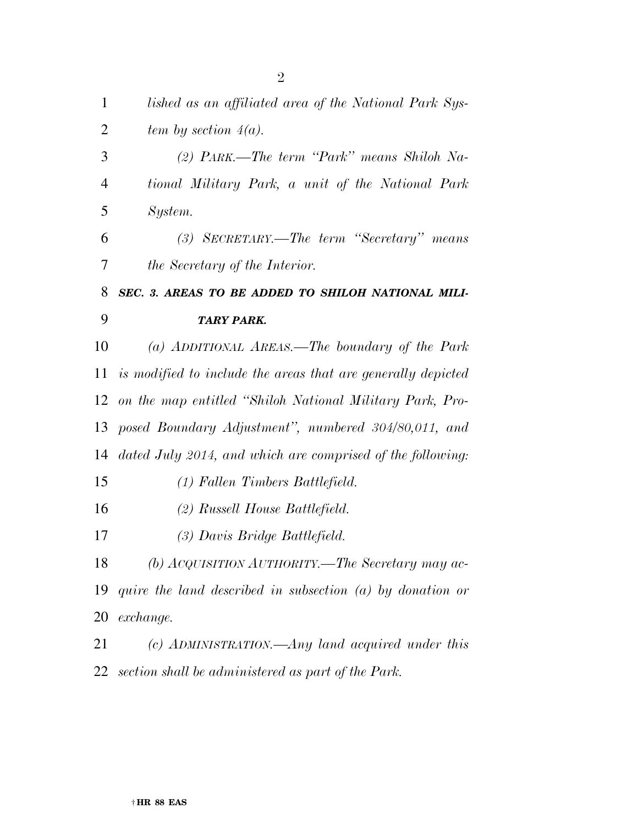| $\mathbf 1$    | lished as an affiliated area of the National Park Sys-       |
|----------------|--------------------------------------------------------------|
| $\overline{2}$ | tem by section $4(a)$ .                                      |
| 3              | (2) PARK.—The term "Park" means Shiloh Na-                   |
| $\overline{4}$ | tional Military Park, a unit of the National Park            |
| 5              | System.                                                      |
| 6              | (3) SECRETARY.—The term "Secretary" means                    |
| 7              | the Secretary of the Interior.                               |
| 8              | SEC. 3. AREAS TO BE ADDED TO SHILOH NATIONAL MILI-           |
| 9              | <b>TARY PARK.</b>                                            |
| 10             | (a) ADDITIONAL AREAS.—The boundary of the Park               |
| 11             | is modified to include the areas that are generally depicted |
| 12             | on the map entitled "Shiloh National Military Park, Pro-     |
| 13             | posed Boundary Adjustment", numbered 304/80,011, and         |
| 14             | dated July 2014, and which are comprised of the following:   |
| 15             | (1) Fallen Timbers Battlefield.                              |
| 16             | (2) Russell House Battlefield.                               |
| 17             | (3) Davis Bridge Battlefield.                                |
| 18             | (b) ACQUISITION AUTHORITY.—The Secretary may ac-             |
| 19             | quire the land described in subsection $(a)$ by donation or  |
| 20             | exchange.                                                    |
| 21             | (c) ADMINISTRATION.—Any land acquired under this             |
| 22             | section shall be administered as part of the Park.           |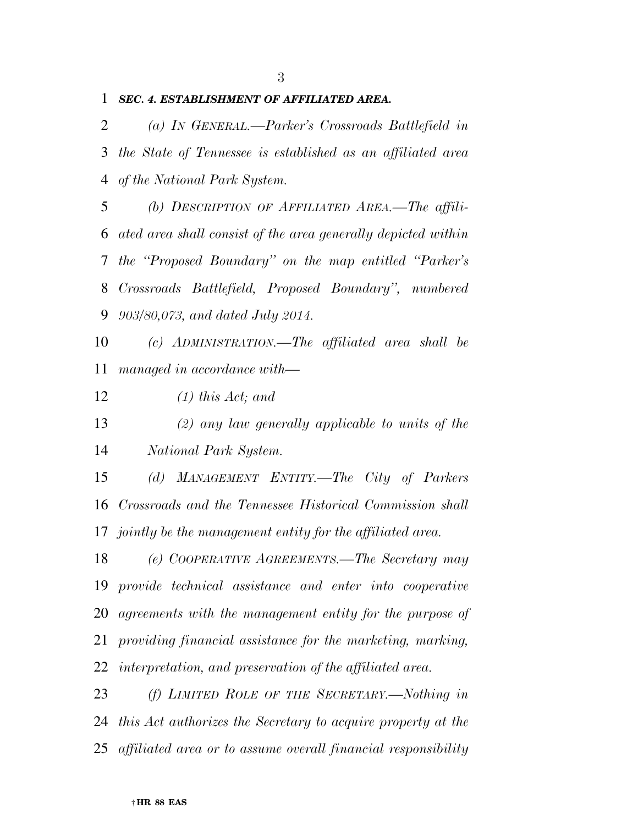### *SEC. 4. ESTABLISHMENT OF AFFILIATED AREA.*

 *(a) IN GENERAL.—Parker's Crossroads Battlefield in the State of Tennessee is established as an affiliated area of the National Park System.* 

 *(b) DESCRIPTION OF AFFILIATED AREA.—The affili- ated area shall consist of the area generally depicted within the ''Proposed Boundary'' on the map entitled ''Parker's Crossroads Battlefield, Proposed Boundary'', numbered 903/80,073, and dated July 2014.* 

 *(c) ADMINISTRATION.—The affiliated area shall be managed in accordance with—* 

*(1) this Act; and* 

 *(2) any law generally applicable to units of the National Park System.* 

 *(d) MANAGEMENT ENTITY.—The City of Parkers Crossroads and the Tennessee Historical Commission shall jointly be the management entity for the affiliated area.* 

 *(e) COOPERATIVE AGREEMENTS.—The Secretary may provide technical assistance and enter into cooperative agreements with the management entity for the purpose of providing financial assistance for the marketing, marking, interpretation, and preservation of the affiliated area.* 

 *(f) LIMITED ROLE OF THE SECRETARY.—Nothing in this Act authorizes the Secretary to acquire property at the affiliated area or to assume overall financial responsibility*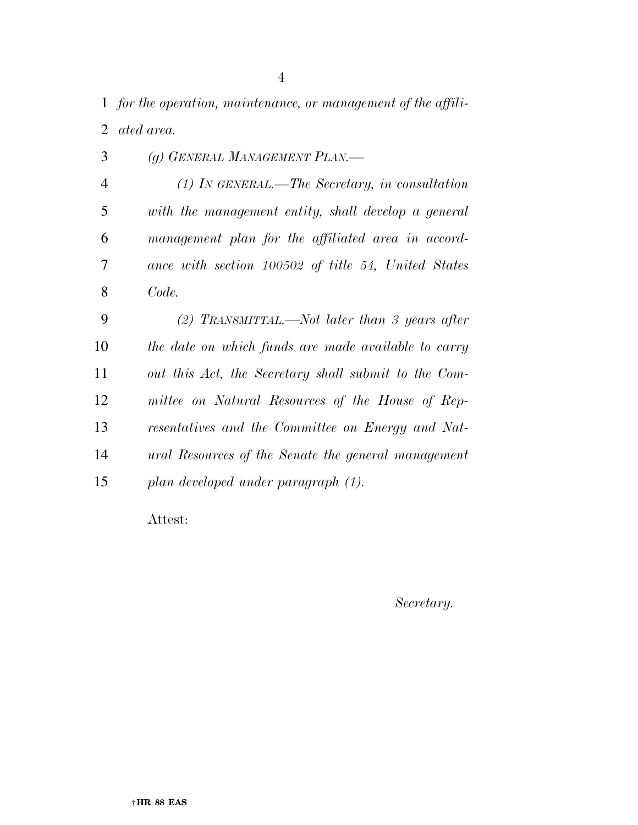*for the operation, maintenance, or management of the affili-ated area.* 

| 3              | (g) GENERAL MANAGEMENT PLAN.—                        |
|----------------|------------------------------------------------------|
| $\overline{4}$ | $(1)$ In GENERAL.—The Secretary, in consultation     |
| 5              | with the management entity, shall develop a general  |
| 6              | management plan for the affiliated area in accord-   |
| 7              | ance with section 100502 of title 54, United States  |
| 8              | Code.                                                |
| 9              | (2) TRANSMITTAL.—Not later than 3 years after        |
| 10             | the date on which funds are made available to carry  |
| 11             | out this Act, the Secretary shall submit to the Com- |
| 12             | mittee on Natural Resources of the House of Rep-     |
| 13             | resentatives and the Committee on Energy and Nat-    |
| 14             | ural Resources of the Senate the general management  |
| 15             | plan developed under paragraph (1).                  |
|                |                                                      |

Attest:

*Secretary.*